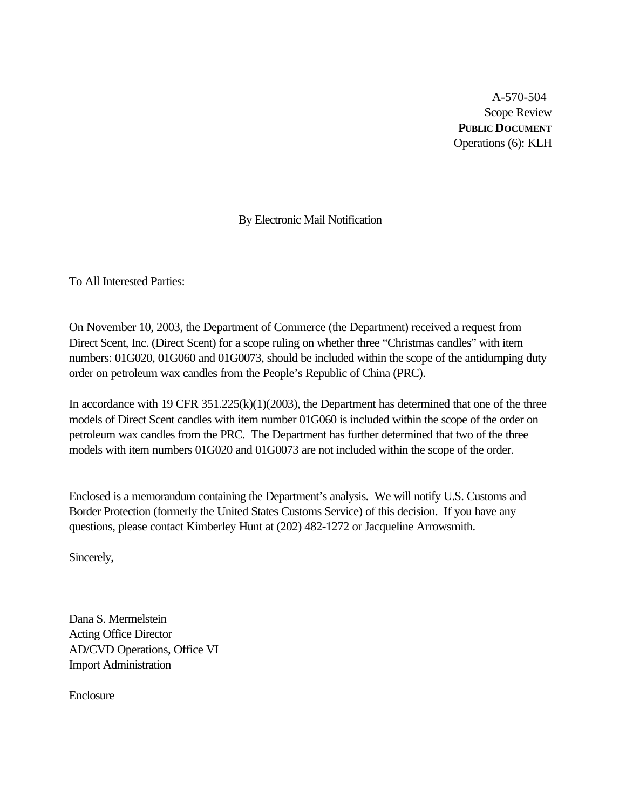A-570-504 Scope Review **PUBLIC DOCUMENT** Operations (6): KLH

By Electronic Mail Notification

To All Interested Parties:

On November 10, 2003, the Department of Commerce (the Department) received a request from Direct Scent, Inc. (Direct Scent) for a scope ruling on whether three "Christmas candles" with item numbers: 01G020, 01G060 and 01G0073, should be included within the scope of the antidumping duty order on petroleum wax candles from the People's Republic of China (PRC).

In accordance with 19 CFR 351.225(k)(1)(2003), the Department has determined that one of the three models of Direct Scent candles with item number 01G060 is included within the scope of the order on petroleum wax candles from the PRC. The Department has further determined that two of the three models with item numbers 01G020 and 01G0073 are not included within the scope of the order.

Enclosed is a memorandum containing the Department's analysis. We will notify U.S. Customs and Border Protection (formerly the United States Customs Service) of this decision. If you have any questions, please contact Kimberley Hunt at (202) 482-1272 or Jacqueline Arrowsmith.

Sincerely,

Dana S. Mermelstein Acting Office Director AD/CVD Operations, Office VI Import Administration

Enclosure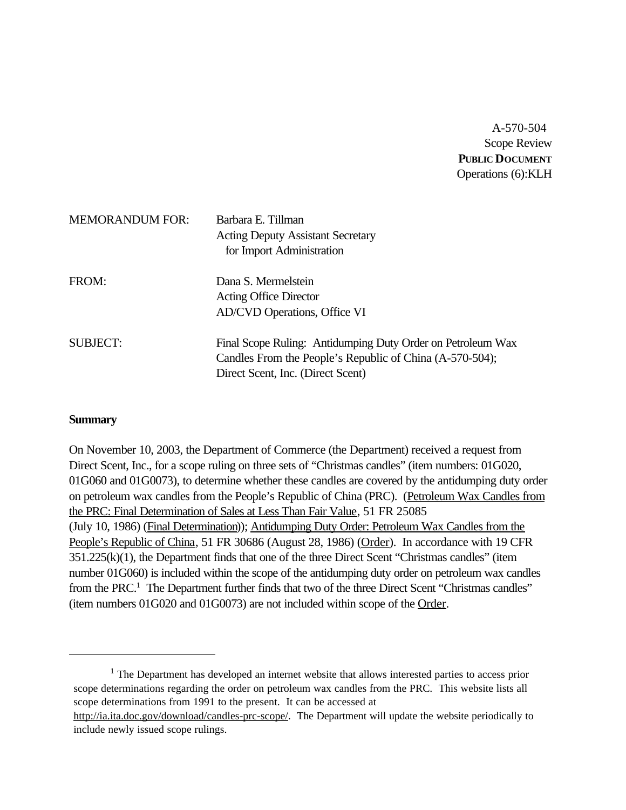A-570-504 Scope Review **PUBLIC DOCUMENT** Operations (6):KLH

| <b>MEMORANDUM FOR:</b> | Barbara E. Tillman<br><b>Acting Deputy Assistant Secretary</b><br>for Import Administration                                                                  |
|------------------------|--------------------------------------------------------------------------------------------------------------------------------------------------------------|
| FROM:                  | Dana S. Mermelstein<br><b>Acting Office Director</b><br>AD/CVD Operations, Office VI                                                                         |
| <b>SUBJECT:</b>        | Final Scope Ruling: Antidumping Duty Order on Petroleum Wax<br>Candles From the People's Republic of China (A-570-504);<br>Direct Scent, Inc. (Direct Scent) |

#### **Summary**

On November 10, 2003, the Department of Commerce (the Department) received a request from Direct Scent, Inc., for a scope ruling on three sets of "Christmas candles" (item numbers: 01G020, 01G060 and 01G0073), to determine whether these candles are covered by the antidumping duty order on petroleum wax candles from the People's Republic of China (PRC). (Petroleum Wax Candles from the PRC: Final Determination of Sales at Less Than Fair Value, 51 FR 25085 (July 10, 1986) (Final Determination)); Antidumping Duty Order: Petroleum Wax Candles from the People's Republic of China, 51 FR 30686 (August 28, 1986) (Order). In accordance with 19 CFR 351.225(k)(1), the Department finds that one of the three Direct Scent "Christmas candles" (item number 01G060) is included within the scope of the antidumping duty order on petroleum wax candles from the PRC.<sup>1</sup> The Department further finds that two of the three Direct Scent "Christmas candles" (item numbers 01G020 and 01G0073) are not included within scope of the Order.

 $<sup>1</sup>$  The Department has developed an internet website that allows interested parties to access prior</sup> scope determinations regarding the order on petroleum wax candles from the PRC. This website lists all scope determinations from 1991 to the present. It can be accessed at

http://ia.ita.doc.gov/download/candles-prc-scope/. The Department will update the website periodically to include newly issued scope rulings.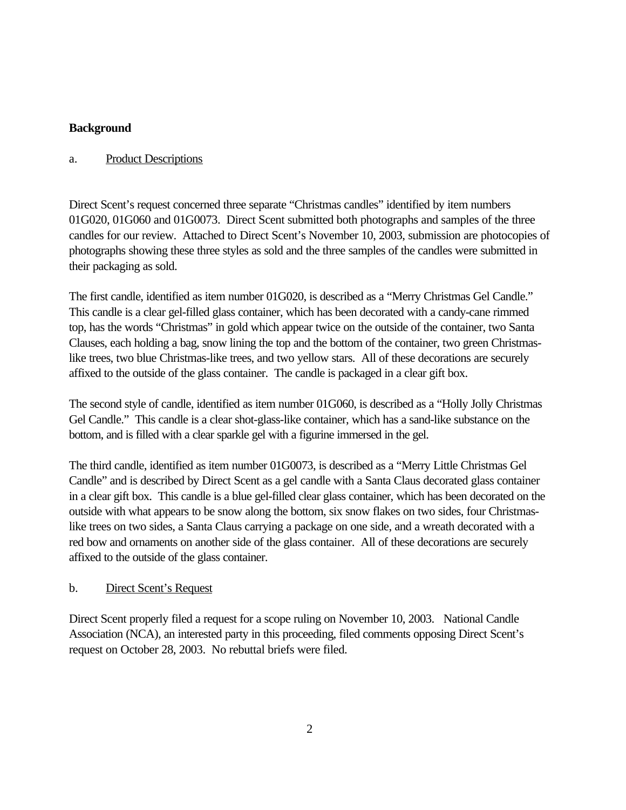# **Background**

## a. Product Descriptions

Direct Scent's request concerned three separate "Christmas candles" identified by item numbers 01G020, 01G060 and 01G0073. Direct Scent submitted both photographs and samples of the three candles for our review. Attached to Direct Scent's November 10, 2003, submission are photocopies of photographs showing these three styles as sold and the three samples of the candles were submitted in their packaging as sold.

The first candle, identified as item number 01G020, is described as a "Merry Christmas Gel Candle." This candle is a clear gel-filled glass container, which has been decorated with a candy-cane rimmed top, has the words "Christmas" in gold which appear twice on the outside of the container, two Santa Clauses, each holding a bag, snow lining the top and the bottom of the container, two green Christmaslike trees, two blue Christmas-like trees, and two yellow stars. All of these decorations are securely affixed to the outside of the glass container. The candle is packaged in a clear gift box.

The second style of candle, identified as item number 01G060, is described as a "Holly Jolly Christmas Gel Candle." This candle is a clear shot-glass-like container, which has a sand-like substance on the bottom, and is filled with a clear sparkle gel with a figurine immersed in the gel.

The third candle, identified as item number 01G0073, is described as a "Merry Little Christmas Gel Candle" and is described by Direct Scent as a gel candle with a Santa Claus decorated glass container in a clear gift box. This candle is a blue gel-filled clear glass container, which has been decorated on the outside with what appears to be snow along the bottom, six snow flakes on two sides, four Christmaslike trees on two sides, a Santa Claus carrying a package on one side, and a wreath decorated with a red bow and ornaments on another side of the glass container. All of these decorations are securely affixed to the outside of the glass container.

## b. Direct Scent's Request

Direct Scent properly filed a request for a scope ruling on November 10, 2003. National Candle Association (NCA), an interested party in this proceeding, filed comments opposing Direct Scent's request on October 28, 2003. No rebuttal briefs were filed.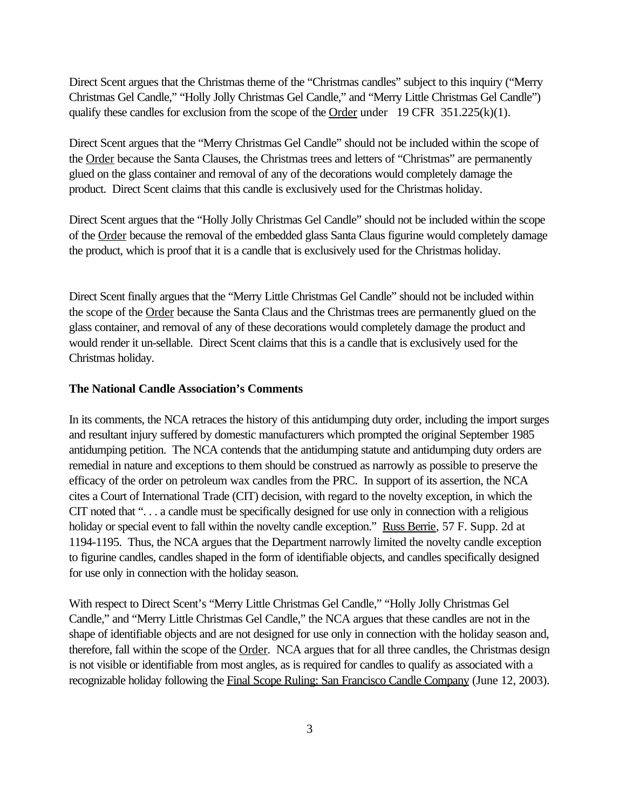Direct Scent argues that the Christmas theme of the "Christmas candles" subject to this inquiry ("Merry Christmas Gel Candle," "Holly Jolly Christmas Gel Candle," and "Merry Little Christmas Gel Candle") qualify these candles for exclusion from the scope of the Order under 19 CFR  $351.225(k)(1)$ .

Direct Scent argues that the "Merry Christmas Gel Candle" should not be included within the scope of the Order because the Santa Clauses, the Christmas trees and letters of "Christmas" are permanently glued on the glass container and removal of any of the decorations would completely damage the product. Direct Scent claims that this candle is exclusively used for the Christmas holiday.

Direct Scent argues that the "Holly Jolly Christmas Gel Candle" should not be included within the scope of the Order because the removal of the embedded glass Santa Claus figurine would completely damage the product, which is proof that it is a candle that is exclusively used for the Christmas holiday.

Direct Scent finally argues that the "Merry Little Christmas Gel Candle" should not be included within the scope of the Order because the Santa Claus and the Christmas trees are permanently glued on the glass container, and removal of any of these decorations would completely damage the product and would render it un-sellable. Direct Scent claims that this is a candle that is exclusively used for the Christmas holiday.

#### **The National Candle Association's Comments**

In its comments, the NCA retraces the history of this antidumping duty order, including the import surges and resultant injury suffered by domestic manufacturers which prompted the original September 1985 antidumping petition. The NCA contends that the antidumping statute and antidumping duty orders are remedial in nature and exceptions to them should be construed as narrowly as possible to preserve the efficacy of the order on petroleum wax candles from the PRC. In support of its assertion, the NCA cites a Court of International Trade (CIT) decision, with regard to the novelty exception, in which the CIT noted that ". . . a candle must be specifically designed for use only in connection with a religious holiday or special event to fall within the novelty candle exception." Russ Berrie, 57 F. Supp. 2d at 1194-1195. Thus, the NCA argues that the Department narrowly limited the novelty candle exception to figurine candles, candles shaped in the form of identifiable objects, and candles specifically designed for use only in connection with the holiday season.

With respect to Direct Scent's "Merry Little Christmas Gel Candle," "Holly Jolly Christmas Gel Candle," and "Merry Little Christmas Gel Candle," the NCA argues that these candles are not in the shape of identifiable objects and are not designed for use only in connection with the holiday season and, therefore, fall within the scope of the Order. NCA argues that for all three candles, the Christmas design is not visible or identifiable from most angles, as is required for candles to qualify as associated with a recognizable holiday following the Final Scope Ruling: San Francisco Candle Company (June 12, 2003).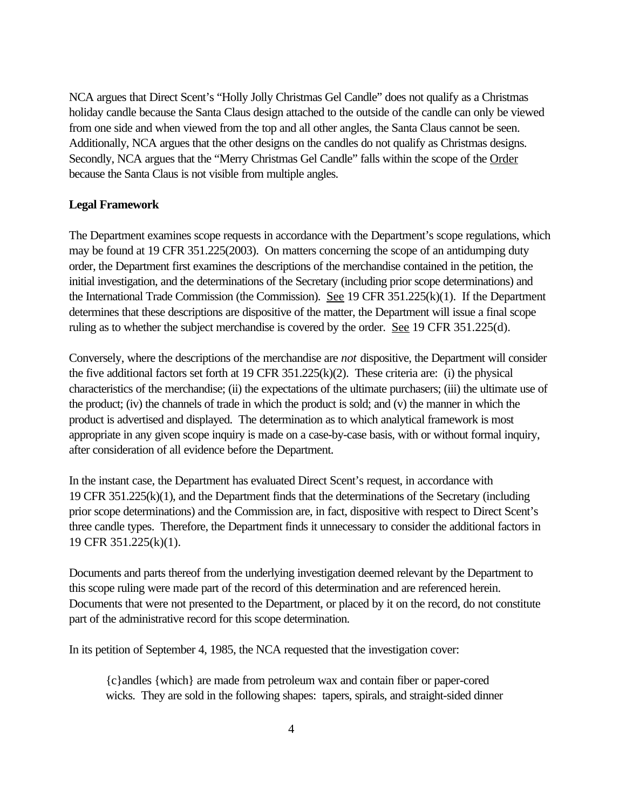NCA argues that Direct Scent's "Holly Jolly Christmas Gel Candle" does not qualify as a Christmas holiday candle because the Santa Claus design attached to the outside of the candle can only be viewed from one side and when viewed from the top and all other angles, the Santa Claus cannot be seen. Additionally, NCA argues that the other designs on the candles do not qualify as Christmas designs. Secondly, NCA argues that the "Merry Christmas Gel Candle" falls within the scope of the Order because the Santa Claus is not visible from multiple angles.

## **Legal Framework**

The Department examines scope requests in accordance with the Department's scope regulations, which may be found at 19 CFR 351.225(2003). On matters concerning the scope of an antidumping duty order, the Department first examines the descriptions of the merchandise contained in the petition, the initial investigation, and the determinations of the Secretary (including prior scope determinations) and the International Trade Commission (the Commission). See 19 CFR  $351.225(k)(1)$ . If the Department determines that these descriptions are dispositive of the matter, the Department will issue a final scope ruling as to whether the subject merchandise is covered by the order. See 19 CFR 351.225(d).

Conversely, where the descriptions of the merchandise are *not* dispositive, the Department will consider the five additional factors set forth at  $19 \text{ CFR } 351.225(k)(2)$ . These criteria are: (i) the physical characteristics of the merchandise; (ii) the expectations of the ultimate purchasers; (iii) the ultimate use of the product; (iv) the channels of trade in which the product is sold; and (v) the manner in which the product is advertised and displayed. The determination as to which analytical framework is most appropriate in any given scope inquiry is made on a case-by-case basis, with or without formal inquiry, after consideration of all evidence before the Department.

In the instant case, the Department has evaluated Direct Scent's request, in accordance with 19 CFR 351.225(k)(1), and the Department finds that the determinations of the Secretary (including prior scope determinations) and the Commission are, in fact, dispositive with respect to Direct Scent's three candle types. Therefore, the Department finds it unnecessary to consider the additional factors in 19 CFR 351.225(k)(1).

Documents and parts thereof from the underlying investigation deemed relevant by the Department to this scope ruling were made part of the record of this determination and are referenced herein. Documents that were not presented to the Department, or placed by it on the record, do not constitute part of the administrative record for this scope determination.

In its petition of September 4, 1985, the NCA requested that the investigation cover:

{c}andles {which} are made from petroleum wax and contain fiber or paper-cored wicks. They are sold in the following shapes: tapers, spirals, and straight-sided dinner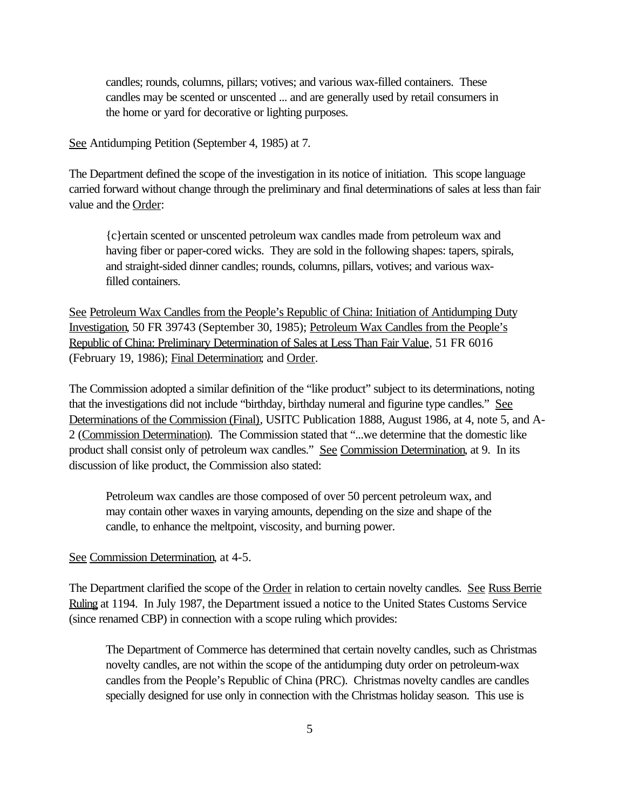candles; rounds, columns, pillars; votives; and various wax-filled containers. These candles may be scented or unscented ... and are generally used by retail consumers in the home or yard for decorative or lighting purposes.

See Antidumping Petition (September 4, 1985) at 7.

The Department defined the scope of the investigation in its notice of initiation. This scope language carried forward without change through the preliminary and final determinations of sales at less than fair value and the Order:

{c}ertain scented or unscented petroleum wax candles made from petroleum wax and having fiber or paper-cored wicks. They are sold in the following shapes: tapers, spirals, and straight-sided dinner candles; rounds, columns, pillars, votives; and various waxfilled containers.

See Petroleum Wax Candles from the People's Republic of China: Initiation of Antidumping Duty Investigation, 50 FR 39743 (September 30, 1985); Petroleum Wax Candles from the People's Republic of China: Preliminary Determination of Sales at Less Than Fair Value, 51 FR 6016 (February 19, 1986); Final Determination; and Order.

The Commission adopted a similar definition of the "like product" subject to its determinations, noting that the investigations did not include "birthday, birthday numeral and figurine type candles." See Determinations of the Commission (Final), USITC Publication 1888, August 1986, at 4, note 5, and A-2 (Commission Determination). The Commission stated that "...we determine that the domestic like product shall consist only of petroleum wax candles." See Commission Determination, at 9. In its discussion of like product, the Commission also stated:

Petroleum wax candles are those composed of over 50 percent petroleum wax, and may contain other waxes in varying amounts, depending on the size and shape of the candle, to enhance the meltpoint, viscosity, and burning power.

See Commission Determination, at 4-5.

The Department clarified the scope of the Order in relation to certain novelty candles. See Russ Berrie Ruling at 1194. In July 1987, the Department issued a notice to the United States Customs Service (since renamed CBP) in connection with a scope ruling which provides:

The Department of Commerce has determined that certain novelty candles, such as Christmas novelty candles, are not within the scope of the antidumping duty order on petroleum-wax candles from the People's Republic of China (PRC). Christmas novelty candles are candles specially designed for use only in connection with the Christmas holiday season. This use is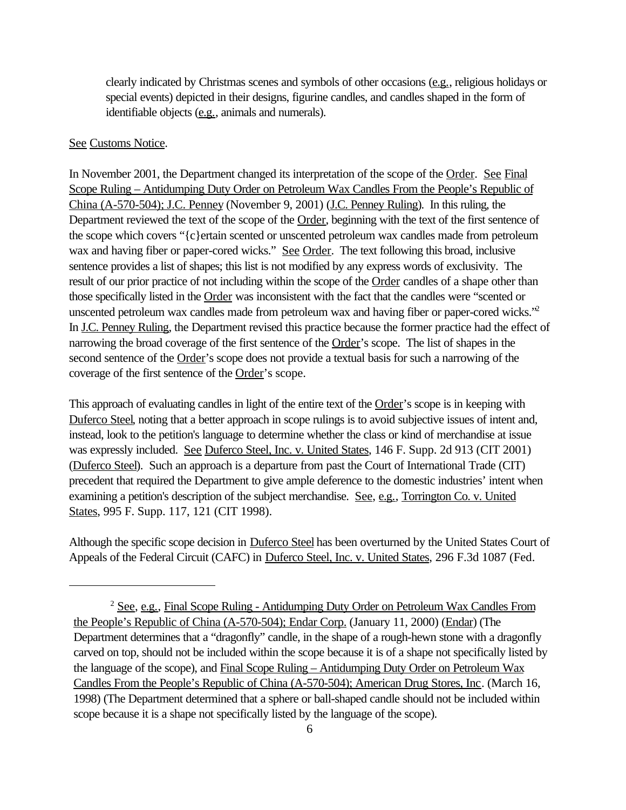clearly indicated by Christmas scenes and symbols of other occasions (e.g., religious holidays or special events) depicted in their designs, figurine candles, and candles shaped in the form of identifiable objects (e.g., animals and numerals).

#### See Customs Notice.

In November 2001, the Department changed its interpretation of the scope of the Order. See Final Scope Ruling – Antidumping Duty Order on Petroleum Wax Candles From the People's Republic of China (A-570-504); J.C. Penney (November 9, 2001) (J.C. Penney Ruling). In this ruling, the Department reviewed the text of the scope of the Order, beginning with the text of the first sentence of the scope which covers "{c}ertain scented or unscented petroleum wax candles made from petroleum wax and having fiber or paper-cored wicks." See Order. The text following this broad, inclusive sentence provides a list of shapes; this list is not modified by any express words of exclusivity. The result of our prior practice of not including within the scope of the Order candles of a shape other than those specifically listed in the Order was inconsistent with the fact that the candles were "scented or unscented petroleum wax candles made from petroleum wax and having fiber or paper-cored wicks."<sup>2</sup> In J.C. Penney Ruling, the Department revised this practice because the former practice had the effect of narrowing the broad coverage of the first sentence of the Order's scope. The list of shapes in the second sentence of the Order's scope does not provide a textual basis for such a narrowing of the coverage of the first sentence of the Order's scope.

This approach of evaluating candles in light of the entire text of the Order's scope is in keeping with Duferco Steel, noting that a better approach in scope rulings is to avoid subjective issues of intent and, instead, look to the petition's language to determine whether the class or kind of merchandise at issue was expressly included. See Duferco Steel, Inc. v. United States, 146 F. Supp. 2d 913 (CIT 2001) (Duferco Steel). Such an approach is a departure from past the Court of International Trade (CIT) precedent that required the Department to give ample deference to the domestic industries' intent when examining a petition's description of the subject merchandise. See, e.g., Torrington Co. v. United States, 995 F. Supp. 117, 121 (CIT 1998).

Although the specific scope decision in Duferco Steel has been overturned by the United States Court of Appeals of the Federal Circuit (CAFC) in Duferco Steel, Inc. v. United States, 296 F.3d 1087 (Fed.

<sup>&</sup>lt;sup>2</sup> See, e.g., Final Scope Ruling - Antidumping Duty Order on Petroleum Wax Candles From the People's Republic of China (A-570-504); Endar Corp. (January 11, 2000) (Endar) (The Department determines that a "dragonfly" candle, in the shape of a rough-hewn stone with a dragonfly carved on top, should not be included within the scope because it is of a shape not specifically listed by the language of the scope), and Final Scope Ruling – Antidumping Duty Order on Petroleum Wax Candles From the People's Republic of China (A-570-504); American Drug Stores, Inc. (March 16, 1998) (The Department determined that a sphere or ball-shaped candle should not be included within scope because it is a shape not specifically listed by the language of the scope).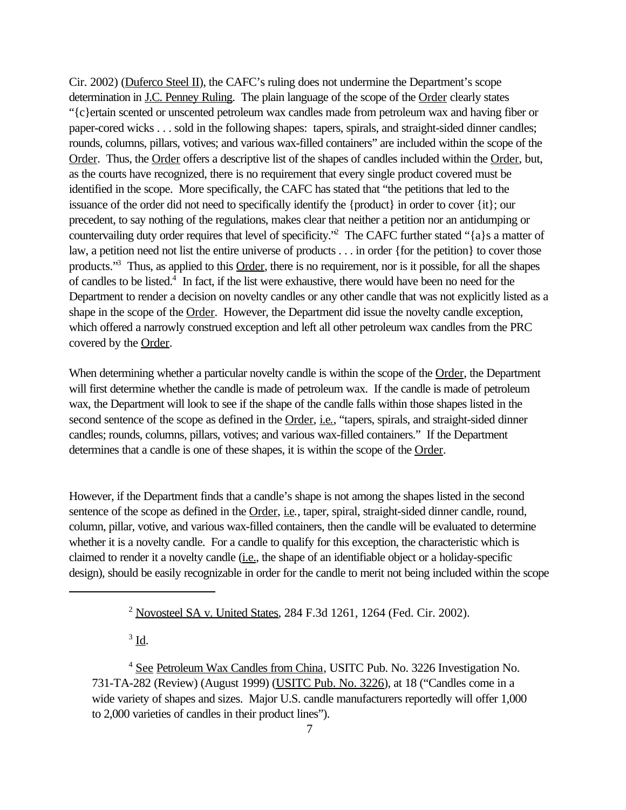Cir. 2002) (Duferco Steel II), the CAFC's ruling does not undermine the Department's scope determination in <u>J.C. Penney Ruling</u>. The plain language of the scope of the Order clearly states "{c}ertain scented or unscented petroleum wax candles made from petroleum wax and having fiber or paper-cored wicks . . . sold in the following shapes: tapers, spirals, and straight-sided dinner candles; rounds, columns, pillars, votives; and various wax-filled containers" are included within the scope of the Order. Thus, the Order offers a descriptive list of the shapes of candles included within the Order, but, as the courts have recognized, there is no requirement that every single product covered must be identified in the scope. More specifically, the CAFC has stated that "the petitions that led to the issuance of the order did not need to specifically identify the {product} in order to cover {it}; our precedent, to say nothing of the regulations, makes clear that neither a petition nor an antidumping or countervailing duty order requires that level of specificity."<sup>2</sup> The CAFC further stated "{a}s a matter of law, a petition need not list the entire universe of products . . . in order {for the petition} to cover those products."<sup>3</sup> Thus, as applied to this Order, there is no requirement, nor is it possible, for all the shapes of candles to be listed.<sup>4</sup> In fact, if the list were exhaustive, there would have been no need for the Department to render a decision on novelty candles or any other candle that was not explicitly listed as a shape in the scope of the Order. However, the Department did issue the novelty candle exception, which offered a narrowly construed exception and left all other petroleum wax candles from the PRC covered by the Order.

When determining whether a particular novelty candle is within the scope of the Order, the Department will first determine whether the candle is made of petroleum wax. If the candle is made of petroleum wax, the Department will look to see if the shape of the candle falls within those shapes listed in the second sentence of the scope as defined in the **Order**, i.e., "tapers, spirals, and straight-sided dinner candles; rounds, columns, pillars, votives; and various wax-filled containers." If the Department determines that a candle is one of these shapes, it is within the scope of the Order.

However, if the Department finds that a candle's shape is not among the shapes listed in the second sentence of the scope as defined in the <u>Order, i.e</u>., taper, spiral, straight-sided dinner candle, round, column, pillar, votive, and various wax-filled containers, then the candle will be evaluated to determine whether it is a novelty candle. For a candle to qualify for this exception, the characteristic which is claimed to render it a novelty candle (i.e., the shape of an identifiable object or a holiday-specific design), should be easily recognizable in order for the candle to merit not being included within the scope

 $3 \underline{\mathbf{Id}}$ .

<sup>4</sup> See Petroleum Wax Candles from China, USITC Pub. No. 3226 Investigation No. 731-TA-282 (Review) (August 1999) (USITC Pub. No. 3226), at 18 ("Candles come in a wide variety of shapes and sizes. Major U.S. candle manufacturers reportedly will offer 1,000 to 2,000 varieties of candles in their product lines").

<sup>2</sup> Novosteel SA v. United States, 284 F.3d 1261, 1264 (Fed. Cir. 2002).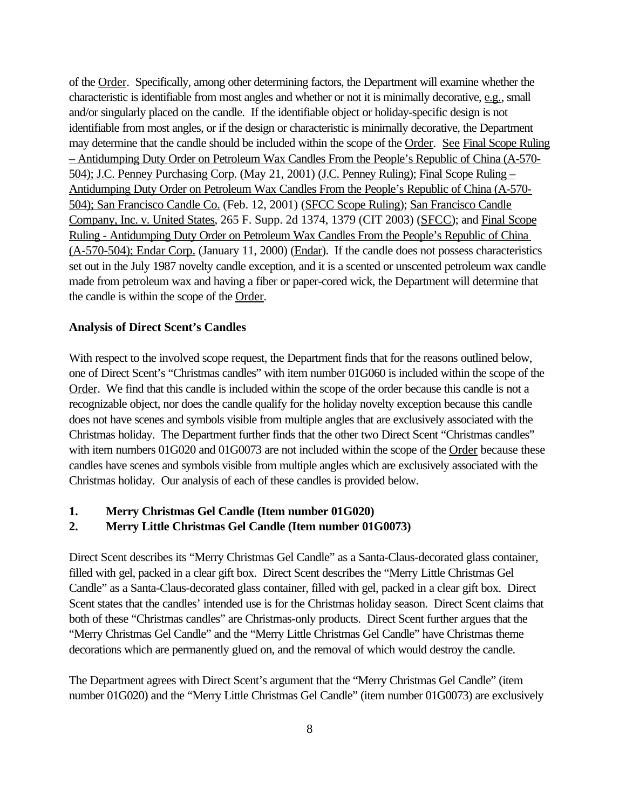of the Order. Specifically, among other determining factors, the Department will examine whether the characteristic is identifiable from most angles and whether or not it is minimally decorative, e.g., small and/or singularly placed on the candle. If the identifiable object or holiday-specific design is not identifiable from most angles, or if the design or characteristic is minimally decorative, the Department may determine that the candle should be included within the scope of the Order. See Final Scope Ruling – Antidumping Duty Order on Petroleum Wax Candles From the People's Republic of China (A-570- 504); J.C. Penney Purchasing Corp. (May 21, 2001) (J.C. Penney Ruling); Final Scope Ruling – Antidumping Duty Order on Petroleum Wax Candles From the People's Republic of China (A-570- 504); San Francisco Candle Co. (Feb. 12, 2001) (SFCC Scope Ruling); San Francisco Candle Company, Inc. v. United States, 265 F. Supp. 2d 1374, 1379 (CIT 2003) (SFCC); and Final Scope Ruling - Antidumping Duty Order on Petroleum Wax Candles From the People's Republic of China (A-570-504); Endar Corp. (January 11, 2000) (Endar). If the candle does not possess characteristics set out in the July 1987 novelty candle exception, and it is a scented or unscented petroleum wax candle made from petroleum wax and having a fiber or paper-cored wick, the Department will determine that the candle is within the scope of the Order.

#### **Analysis of Direct Scent's Candles**

With respect to the involved scope request, the Department finds that for the reasons outlined below, one of Direct Scent's "Christmas candles" with item number 01G060 is included within the scope of the Order. We find that this candle is included within the scope of the order because this candle is not a recognizable object, nor does the candle qualify for the holiday novelty exception because this candle does not have scenes and symbols visible from multiple angles that are exclusively associated with the Christmas holiday. The Department further finds that the other two Direct Scent "Christmas candles" with item numbers 01G020 and 01G0073 are not included within the scope of the Order because these candles have scenes and symbols visible from multiple angles which are exclusively associated with the Christmas holiday. Our analysis of each of these candles is provided below.

#### **1. Merry Christmas Gel Candle (Item number 01G020)**

### **2. Merry Little Christmas Gel Candle (Item number 01G0073)**

Direct Scent describes its "Merry Christmas Gel Candle" as a Santa-Claus-decorated glass container, filled with gel, packed in a clear gift box. Direct Scent describes the "Merry Little Christmas Gel Candle" as a Santa-Claus-decorated glass container, filled with gel, packed in a clear gift box. Direct Scent states that the candles' intended use is for the Christmas holiday season. Direct Scent claims that both of these "Christmas candles" are Christmas-only products. Direct Scent further argues that the "Merry Christmas Gel Candle" and the "Merry Little Christmas Gel Candle" have Christmas theme decorations which are permanently glued on, and the removal of which would destroy the candle.

The Department agrees with Direct Scent's argument that the "Merry Christmas Gel Candle" (item number 01G020) and the "Merry Little Christmas Gel Candle" (item number 01G0073) are exclusively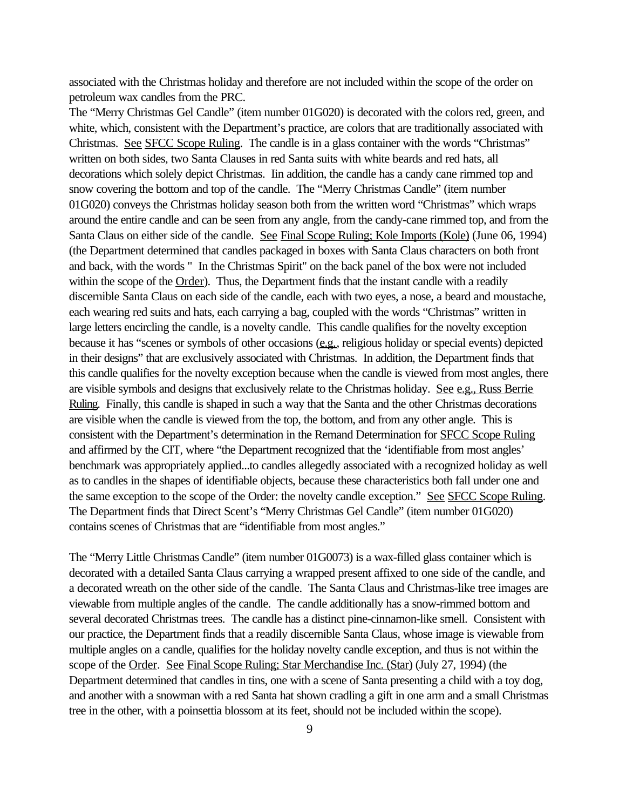associated with the Christmas holiday and therefore are not included within the scope of the order on petroleum wax candles from the PRC.

The "Merry Christmas Gel Candle" (item number 01G020) is decorated with the colors red, green, and white, which, consistent with the Department's practice, are colors that are traditionally associated with Christmas. See SFCC Scope Ruling. The candle is in a glass container with the words "Christmas" written on both sides, two Santa Clauses in red Santa suits with white beards and red hats, all decorations which solely depict Christmas. Iin addition, the candle has a candy cane rimmed top and snow covering the bottom and top of the candle. The "Merry Christmas Candle" (item number 01G020) conveys the Christmas holiday season both from the written word "Christmas" which wraps around the entire candle and can be seen from any angle, from the candy-cane rimmed top, and from the Santa Claus on either side of the candle. See Final Scope Ruling; Kole Imports (Kole) (June 06, 1994) (the Department determined that candles packaged in boxes with Santa Claus characters on both front and back, with the words " In the Christmas Spirit" on the back panel of the box were not included within the scope of the Order). Thus, the Department finds that the instant candle with a readily discernible Santa Claus on each side of the candle, each with two eyes, a nose, a beard and moustache, each wearing red suits and hats, each carrying a bag, coupled with the words "Christmas" written in large letters encircling the candle, is a novelty candle. This candle qualifies for the novelty exception because it has "scenes or symbols of other occasions (e.g., religious holiday or special events) depicted in their designs" that are exclusively associated with Christmas. In addition, the Department finds that this candle qualifies for the novelty exception because when the candle is viewed from most angles, there are visible symbols and designs that exclusively relate to the Christmas holiday. See e.g., Russ Berrie Ruling. Finally, this candle is shaped in such a way that the Santa and the other Christmas decorations are visible when the candle is viewed from the top, the bottom, and from any other angle. This is consistent with the Department's determination in the Remand Determination for SFCC Scope Ruling and affirmed by the CIT, where "the Department recognized that the 'identifiable from most angles' benchmark was appropriately applied...to candles allegedly associated with a recognized holiday as well as to candles in the shapes of identifiable objects, because these characteristics both fall under one and the same exception to the scope of the Order: the novelty candle exception." See SFCC Scope Ruling. The Department finds that Direct Scent's "Merry Christmas Gel Candle" (item number 01G020) contains scenes of Christmas that are "identifiable from most angles."

The "Merry Little Christmas Candle" (item number 01G0073) is a wax-filled glass container which is decorated with a detailed Santa Claus carrying a wrapped present affixed to one side of the candle, and a decorated wreath on the other side of the candle. The Santa Claus and Christmas-like tree images are viewable from multiple angles of the candle. The candle additionally has a snow-rimmed bottom and several decorated Christmas trees. The candle has a distinct pine-cinnamon-like smell. Consistent with our practice, the Department finds that a readily discernible Santa Claus, whose image is viewable from multiple angles on a candle, qualifies for the holiday novelty candle exception, and thus is not within the scope of the Order. See Final Scope Ruling; Star Merchandise Inc. (Star) (July 27, 1994) (the Department determined that candles in tins, one with a scene of Santa presenting a child with a toy dog, and another with a snowman with a red Santa hat shown cradling a gift in one arm and a small Christmas tree in the other, with a poinsettia blossom at its feet, should not be included within the scope).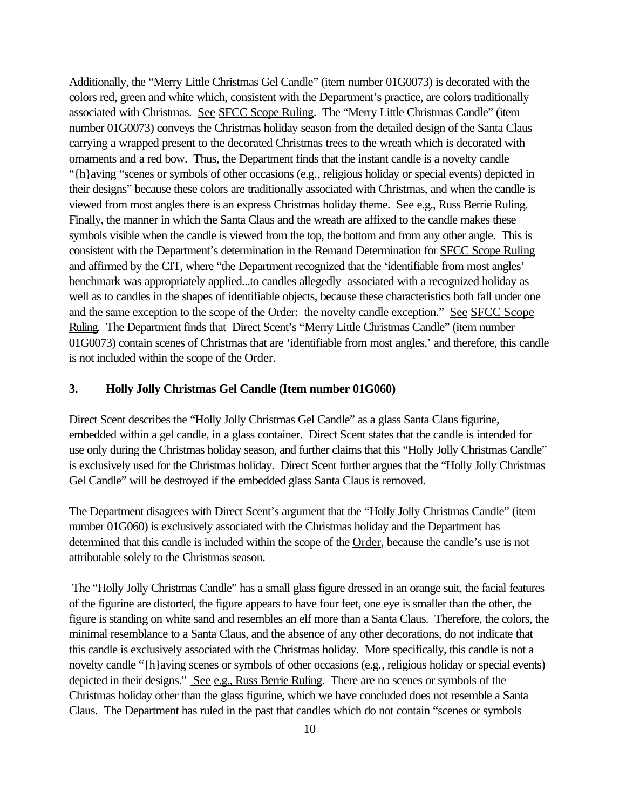Additionally, the "Merry Little Christmas Gel Candle" (item number 01G0073) is decorated with the colors red, green and white which, consistent with the Department's practice, are colors traditionally associated with Christmas. See SFCC Scope Ruling. The "Merry Little Christmas Candle" (item number 01G0073) conveys the Christmas holiday season from the detailed design of the Santa Claus carrying a wrapped present to the decorated Christmas trees to the wreath which is decorated with ornaments and a red bow. Thus, the Department finds that the instant candle is a novelty candle "{h}aving "scenes or symbols of other occasions (e.g., religious holiday or special events) depicted in their designs" because these colors are traditionally associated with Christmas, and when the candle is viewed from most angles there is an express Christmas holiday theme. See e.g., Russ Berrie Ruling. Finally, the manner in which the Santa Claus and the wreath are affixed to the candle makes these symbols visible when the candle is viewed from the top, the bottom and from any other angle. This is consistent with the Department's determination in the Remand Determination for SFCC Scope Ruling and affirmed by the CIT, where "the Department recognized that the 'identifiable from most angles' benchmark was appropriately applied...to candles allegedly associated with a recognized holiday as well as to candles in the shapes of identifiable objects, because these characteristics both fall under one and the same exception to the scope of the Order: the novelty candle exception." See SFCC Scope Ruling. The Department finds that Direct Scent's "Merry Little Christmas Candle" (item number 01G0073) contain scenes of Christmas that are 'identifiable from most angles,' and therefore, this candle is not included within the scope of the Order.

### **3. Holly Jolly Christmas Gel Candle (Item number 01G060)**

Direct Scent describes the "Holly Jolly Christmas Gel Candle" as a glass Santa Claus figurine, embedded within a gel candle, in a glass container. Direct Scent states that the candle is intended for use only during the Christmas holiday season, and further claims that this "Holly Jolly Christmas Candle" is exclusively used for the Christmas holiday. Direct Scent further argues that the "Holly Jolly Christmas Gel Candle" will be destroyed if the embedded glass Santa Claus is removed.

The Department disagrees with Direct Scent's argument that the "Holly Jolly Christmas Candle" (item number 01G060) is exclusively associated with the Christmas holiday and the Department has determined that this candle is included within the scope of the Order, because the candle's use is not attributable solely to the Christmas season.

 The "Holly Jolly Christmas Candle" has a small glass figure dressed in an orange suit, the facial features of the figurine are distorted, the figure appears to have four feet, one eye is smaller than the other, the figure is standing on white sand and resembles an elf more than a Santa Claus. Therefore, the colors, the minimal resemblance to a Santa Claus, and the absence of any other decorations, do not indicate that this candle is exclusively associated with the Christmas holiday. More specifically, this candle is not a novelty candle "{h}aving scenes or symbols of other occasions (e.g., religious holiday or special events) depicted in their designs." See e.g., Russ Berrie Ruling. There are no scenes or symbols of the Christmas holiday other than the glass figurine, which we have concluded does not resemble a Santa Claus. The Department has ruled in the past that candles which do not contain "scenes or symbols